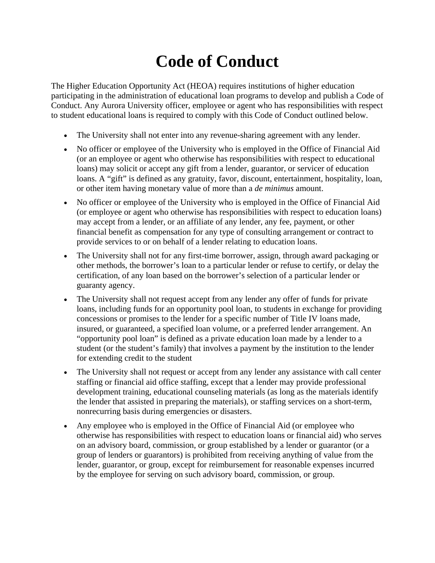## **Code of Conduct**

The Higher Education Opportunity Act (HEOA) requires institutions of higher education participating in the administration of educational loan programs to develop and publish a Code of Conduct. Any Aurora University officer, employee or agent who has responsibilities with respect to student educational loans is required to comply with this Code of Conduct outlined below.

- The University shall not enter into any revenue-sharing agreement with any lender.
- No officer or employee of the University who is employed in the Office of Financial Aid (or an employee or agent who otherwise has responsibilities with respect to educational loans) may solicit or accept any gift from a lender, guarantor, or servicer of education loans. A "gift" is defined as any gratuity, favor, discount, entertainment, hospitality, loan, or other item having monetary value of more than a *de minimus* amount.
- No officer or employee of the University who is employed in the Office of Financial Aid (or employee or agent who otherwise has responsibilities with respect to education loans) may accept from a lender, or an affiliate of any lender, any fee, payment, or other financial benefit as compensation for any type of consulting arrangement or contract to provide services to or on behalf of a lender relating to education loans.
- The University shall not for any first-time borrower, assign, through award packaging or other methods, the borrower's loan to a particular lender or refuse to certify, or delay the certification, of any loan based on the borrower's selection of a particular lender or guaranty agency.
- The University shall not request accept from any lender any offer of funds for private loans, including funds for an opportunity pool loan, to students in exchange for providing concessions or promises to the lender for a specific number of Title IV loans made, insured, or guaranteed, a specified loan volume, or a preferred lender arrangement. An "opportunity pool loan" is defined as a private education loan made by a lender to a student (or the student's family) that involves a payment by the institution to the lender for extending credit to the student
- The University shall not request or accept from any lender any assistance with call center staffing or financial aid office staffing, except that a lender may provide professional development training, educational counseling materials (as long as the materials identify the lender that assisted in preparing the materials), or staffing services on a short-term, nonrecurring basis during emergencies or disasters.
- Any employee who is employed in the Office of Financial Aid (or employee who otherwise has responsibilities with respect to education loans or financial aid) who serves on an advisory board, commission, or group established by a lender or guarantor (or a group of lenders or guarantors) is prohibited from receiving anything of value from the lender, guarantor, or group, except for reimbursement for reasonable expenses incurred by the employee for serving on such advisory board, commission, or group.